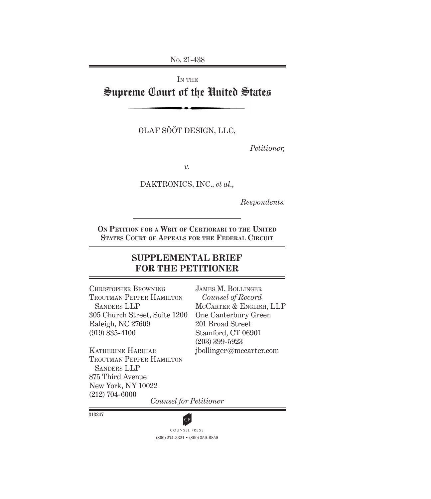No. 21-438

# IN THE Supreme Court of the United States

OLAF SÖÖT DESIGN, LLC,

*Petitioner,*

*v.*

DAKTRONICS, INC., *et al*.,

*Respondents.*

**On Petition for a Writ of Certiorari to the United States Court of Appeals for the Federal Circuit**

# **SUPPLEMENTAL BRIEF FOR THE PETITIONER**

Christopher Browning Troutman Pepper Hamilton Sanders LLP 305 Church Street, Suite 1200 Raleigh, NC 27609 (919) 835-4100

James M. Bollinger *Counsel of Record*  MCCARTER & ENGLISH, LLP One Canterbury Green 201 Broad Street Stamford, CT 06901 (203) 399-5923 jbollinger@mccarter.com

Katherine Harihar Troutman Pepper Hamilton Sanders LLP 875 Third Avenue New York, NY 10022 (212) 704-6000

*Counsel for Petitioner*

313247



(800) 274-3321 • (800) 359-6859 **CP**<br>COUNSEL PRESS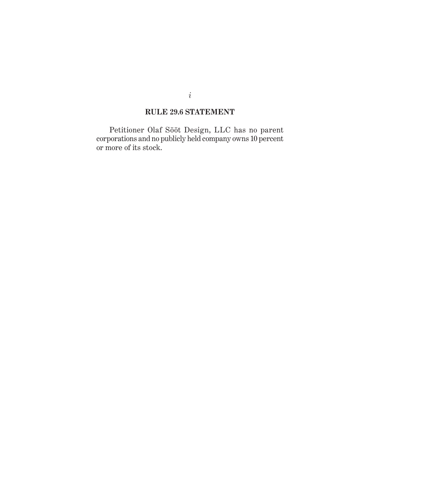## **RULE 29.6 STATEMENT**

Petitioner Olaf Sööt Design, LLC has no parent corporations and no publicly held company owns 10 percent or more of its stock.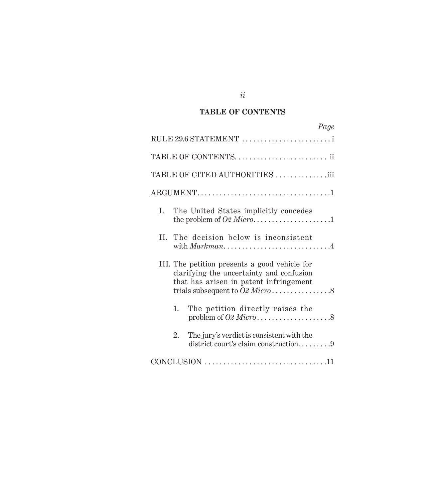# **TABLE OF CONTENTS**

|                                |    | Page                                                                                                                                |  |  |
|--------------------------------|----|-------------------------------------------------------------------------------------------------------------------------------------|--|--|
|                                |    | RULE 29.6 STATEMENT                                                                                                                 |  |  |
|                                |    | TABLE OF CONTENTS ii                                                                                                                |  |  |
| TABLE OF CITED AUTHORITIES iii |    |                                                                                                                                     |  |  |
|                                |    |                                                                                                                                     |  |  |
| L.                             |    | The United States implicitly concedes                                                                                               |  |  |
|                                |    | II. The decision below is inconsistent                                                                                              |  |  |
|                                |    | III. The petition presents a good vehicle for<br>clarifying the uncertainty and confusion<br>that has arisen in patent infringement |  |  |
|                                | 1. | The petition directly raises the                                                                                                    |  |  |
|                                | 2. | The jury's verdict is consistent with the<br>district court's claim construction9                                                   |  |  |
|                                |    |                                                                                                                                     |  |  |

*ii*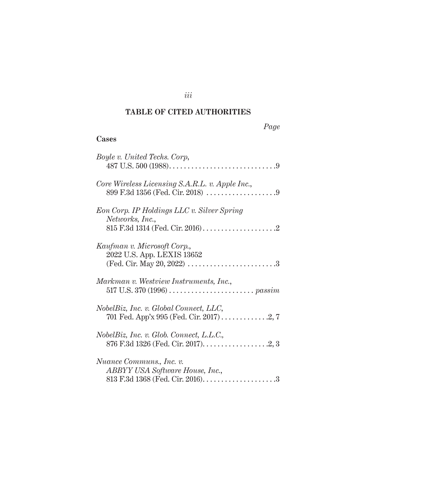## **TABLE OF CITED AUTHORITIES**

## *Page*

### **Cases**

| Boyle v. United Techs. Corp,                                  |
|---------------------------------------------------------------|
| Core Wireless Licensing S.A.R.L. v. Apple Inc.,               |
| Eon Corp. IP Holdings LLC v. Silver Spring<br>Networks, Inc., |
| Kaufman v. Microsoft Corp.,<br>2022 U.S. App. LEXIS 13652     |
| Markman v. Westview Instruments, Inc.,                        |
| NobelBiz, Inc. v. Global Connect, LLC,                        |
| NobelBiz, Inc. v. Glob. Connect, L.L.C.,                      |
| Nuance Communs., Inc. v.<br>ABBYY USA Software House, Inc.,   |

*iii*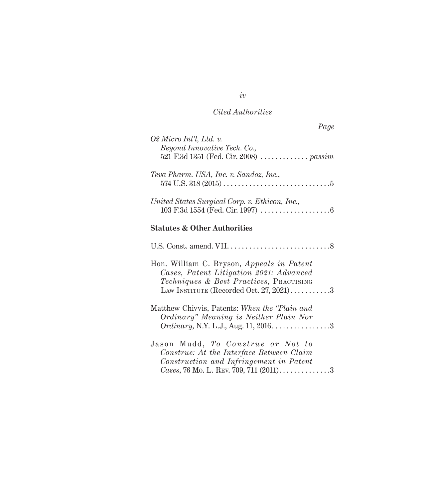# *Cited Authorities*

| Page                                                                                                                                                                         |  |
|------------------------------------------------------------------------------------------------------------------------------------------------------------------------------|--|
| O2 Micro Int'l, Ltd. v.<br>Beyond Innovative Tech. Co.,<br>521 F.3d 1351 (Fed. Cir. 2008) <i>passim</i>                                                                      |  |
| Teva Pharm. USA, Inc. v. Sandoz, Inc.,                                                                                                                                       |  |
| United States Surgical Corp. v. Ethicon, Inc.,                                                                                                                               |  |
| <b>Statutes &amp; Other Authorities</b>                                                                                                                                      |  |
|                                                                                                                                                                              |  |
| Hon. William C. Bryson, Appeals in Patent<br>Cases, Patent Litigation 2021: Advanced<br>Techniques & Best Practices, PRACTISING<br>LAW INSTITUTE (Recorded Oct. 27, 2021)3   |  |
| Matthew Chivyis, Patents: When the "Plain and<br>Ordinary" Meaning is Neither Plain Nor<br><i>Ordinary</i> , N.Y. L.J., Aug. 11, 2016. 3                                     |  |
| Jason Mudd, <i>To Construe or Not to</i><br>Construe: At the Interface Between Claim<br>Construction and Infringement in Patent<br>Cases, 76 Mo. L. REV. 709, 711 $(2011)$ 3 |  |

*iv*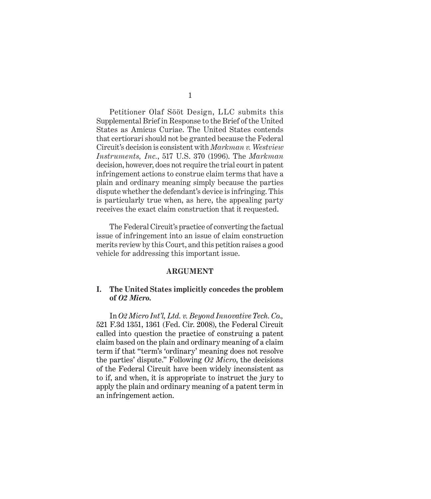Petitioner Olaf Sööt Design, LLC submits this Supplemental Brief in Response to the Brief of the United States as Amicus Curiae. The United States contends that certiorari should not be granted because the Federal Circuit's decision is consistent with *Markman v. Westview Instruments, Inc.*, 517 U.S. 370 (1996). The *Markman*  decision, however, does not require the trial court in patent infringement actions to construe claim terms that have a plain and ordinary meaning simply because the parties dispute whether the defendant's device is infringing. This is particularly true when, as here, the appealing party receives the exact claim construction that it requested.

The Federal Circuit's practice of converting the factual issue of infringement into an issue of claim construction merits review by this Court, and this petition raises a good vehicle for addressing this important issue.

#### **ARGUMENT**

### **I. The United States implicitly concedes the problem of** *O2 Micro.*

In *O2 Micro Int'l, Ltd. v. Beyond Innovative Tech. Co.,*  521 F.3d 1351, 1361 (Fed. Cir. 2008), the Federal Circuit called into question the practice of construing a patent claim based on the plain and ordinary meaning of a claim term if that "term's 'ordinary' meaning does not resolve the parties' dispute." Following *O2 Micro*, the decisions of the Federal Circuit have been widely inconsistent as to if, and when, it is appropriate to instruct the jury to apply the plain and ordinary meaning of a patent term in an infringement action.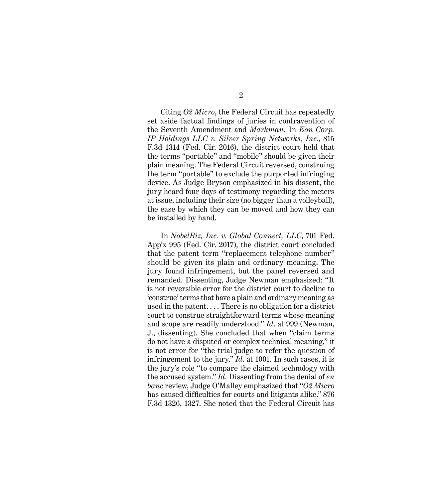Citing *O2 Micro*, the Federal Circuit has repeatedly set aside factual findings of juries in contravention of the Seventh Amendment and *Markman*. In *Eon Corp. IP Holdings LLC v. Silver Spring Networks, Inc.*, 815 F.3d 1314 (Fed. Cir. 2016), the district court held that the terms "portable" and "mobile" should be given their plain meaning. The Federal Circuit reversed, construing the term "portable" to exclude the purported infringing device. As Judge Bryson emphasized in his dissent, the jury heard four days of testimony regarding the meters at issue, including their size (no bigger than a volleyball), the ease by which they can be moved and how they can be installed by hand.

In *NobelBiz, Inc. v. Global Connect, LLC*, 701 Fed. App'x 995 (Fed. Cir. 2017), the district court concluded that the patent term "replacement telephone number" should be given its plain and ordinary meaning. The jury found infringement, but the panel reversed and remanded. Dissenting, Judge Newman emphasized: "It is not reversible error for the district court to decline to 'construe' terms that have a plain and ordinary meaning as used in the patent. . . . There is no obligation for a district court to construe straightforward terms whose meaning and scope are readily understood." *Id*. at 999 (Newman, J., dissenting). She concluded that when "claim terms do not have a disputed or complex technical meaning," it is not error for "the trial judge to refer the question of infringement to the jury." *Id*. at 1001. In such cases, it is the jury's role "to compare the claimed technology with the accused system." *Id.* Dissenting from the denial of *en banc* review, Judge O'Malley emphasized that "*O2 Micro* has caused difficulties for courts and litigants alike." 876 F.3d 1326, 1327. She noted that the Federal Circuit has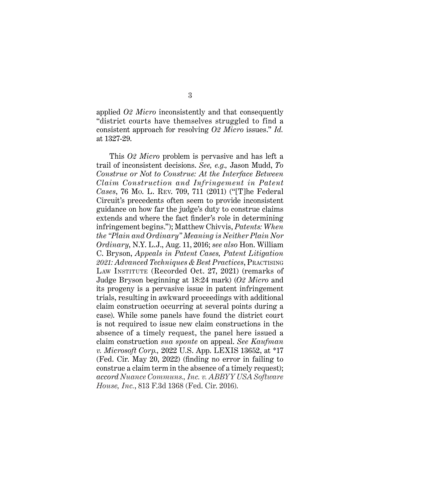applied *O2 Micro* inconsistently and that consequently "district courts have themselves struggled to find a consistent approach for resolving *O2 Micro* issues." *Id.* at 1327-29.

This *O2 Micro* problem is pervasive and has left a trail of inconsistent decisions. *See, e.g.,* Jason Mudd, *To Construe or Not to Construe: At the Interface Between Claim Construction and Infringement in Patent Cases*, 76 Mo. L. Rev. 709, 711 (2011) ("[T]he Federal Circuit's precedents often seem to provide inconsistent guidance on how far the judge's duty to construe claims extends and where the fact finder's role in determining infringement begins."); Matthew Chivvis, *Patents: When the "Plain and Ordinary" Meaning is Neither Plain Nor Ordinary*, N.Y. L.J., Aug. 11, 2016; *see also* Hon. William C. Bryson, *Appeals in Patent Cases, Patent Litigation 2021: Advanced Techniques & Best Practices*, Practising LAW INSTITUTE (Recorded Oct. 27, 2021) (remarks of Judge Bryson beginning at 18:24 mark) (*O2 Micro* and its progeny is a pervasive issue in patent infringement trials, resulting in awkward proceedings with additional claim construction occurring at several points during a case). While some panels have found the district court is not required to issue new claim constructions in the absence of a timely request, the panel here issued a claim construction *sua sponte* on appeal. *See Kaufman v. Microsoft Corp.,* 2022 U.S. App. LEXIS 13652, at \*17 (Fed. Cir. May 20, 2022) (finding no error in failing to construe a claim term in the absence of a timely request); *accord Nuance Communs., Inc. v. ABBYY USA Software House, Inc.*, 813 F.3d 1368 (Fed. Cir. 2016).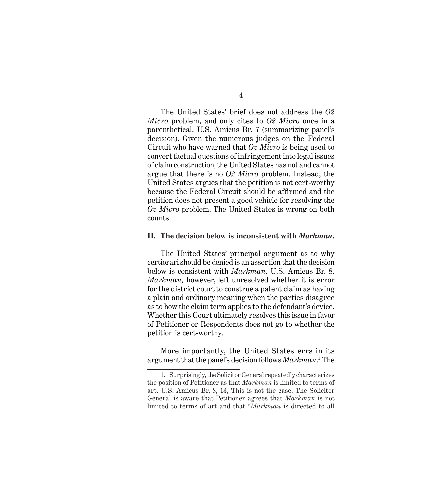The United States' brief does not address the *O2 Micro* problem, and only cites to *O2 Micro* once in a parenthetical. U.S. Amicus Br. 7 (summarizing panel's decision). Given the numerous judges on the Federal Circuit who have warned that *O2 Micro* is being used to convert factual questions of infringement into legal issues of claim construction, the United States has not and cannot argue that there is no *O2 Micro* problem. Instead, the United States argues that the petition is not cert-worthy

because the Federal Circuit should be affirmed and the petition does not present a good vehicle for resolving the *O2 Micro* problem. The United States is wrong on both counts.

#### **II. The decision below is inconsistent with** *Markman***.**

The United States' principal argument as to why certiorari should be denied is an assertion that the decision below is consistent with *Markman*. U.S. Amicus Br. 8. *Markman,* however, left unresolved whether it is error for the district court to construe a patent claim as having a plain and ordinary meaning when the parties disagree as to how the claim term applies to the defendant's device. Whether this Court ultimately resolves this issue in favor of Petitioner or Respondents does not go to whether the petition is cert-worthy.

More importantly, the United States errs in its argument that the panel's decision follows  $Markman$ <sup>1</sup> The

<sup>1.</sup> Surprisingly, the Solicitor General repeatedly characterizes the position of Petitioner as that *Markman* is limited to terms of art. U.S. Amicus Br. 8, 13, This is not the case. The Solicitor General is aware that Petitioner agrees that *Markman* is not limited to terms of art and that "*Markman* is directed to all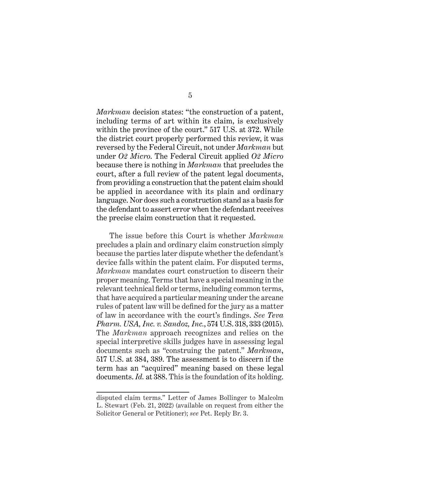*Markman* decision states: "the construction of a patent, including terms of art within its claim, is exclusively within the province of the court." 517 U.S. at 372. While the district court properly performed this review, it was reversed by the Federal Circuit, not under *Markman* but under *O2 Micro*. The Federal Circuit applied *O2 Micro* because there is nothing in *Markman* that precludes the court, after a full review of the patent legal documents, from providing a construction that the patent claim should be applied in accordance with its plain and ordinary language. Nor does such a construction stand as a basis for the defendant to assert error when the defendant receives the precise claim construction that it requested.

The issue before this Court is whether *Markman* precludes a plain and ordinary claim construction simply because the parties later dispute whether the defendant's device falls within the patent claim. For disputed terms, *Markman* mandates court construction to discern their proper meaning. Terms that have a special meaning in the relevant technical field or terms, including common terms, that have acquired a particular meaning under the arcane rules of patent law will be defined for the jury as a matter of law in accordance with the court's findings. *See Teva Pharm. USA, Inc. v. Sandoz, Inc.*, 574 U.S. 318, 333 (2015). The *Markman* approach recognizes and relies on the special interpretive skills judges have in assessing legal documents such as "construing the patent." *Markman*, 517 U.S. at 384, 389. The assessment is to discern if the term has an "acquired" meaning based on these legal documents. *Id.* at 388. This is the foundation of its holding.

disputed claim terms." Letter of James Bollinger to Malcolm L. Stewart (Feb. 21, 2022) (available on request from either the Solicitor General or Petitioner); *see* Pet. Reply Br. 3.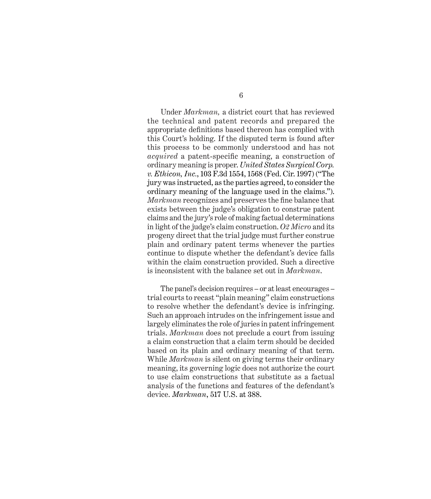Under *Markman,* a district court that has reviewed the technical and patent records and prepared the appropriate definitions based thereon has complied with this Court's holding. If the disputed term is found after this process to be commonly understood and has not *acquired* a patent-specific meaning, a construction of ordinary meaning is proper. *United States Surgical Corp. v. Ethicon, Inc.*, 103 F.3d 1554, 1568 (Fed. Cir. 1997) ("The jury was instructed, as the parties agreed, to consider the ordinary meaning of the language used in the claims."). *Markman* recognizes and preserves the fine balance that exists between the judge's obligation to construe patent claims and the jury's role of making factual determinations in light of the judge's claim construction. *O2 Micro* and its progeny direct that the trial judge must further construe plain and ordinary patent terms whenever the parties continue to dispute whether the defendant's device falls within the claim construction provided. Such a directive is inconsistent with the balance set out in *Markman*.

The panel's decision requires – or at least encourages – trial courts to recast "plain meaning" claim constructions to resolve whether the defendant's device is infringing. Such an approach intrudes on the infringement issue and largely eliminates the role of juries in patent infringement trials. *Markman* does not preclude a court from issuing a claim construction that a claim term should be decided based on its plain and ordinary meaning of that term. While *Markman* is silent on giving terms their ordinary meaning, its governing logic does not authorize the court to use claim constructions that substitute as a factual analysis of the functions and features of the defendant's device. *Markman*, 517 U.S. at 388.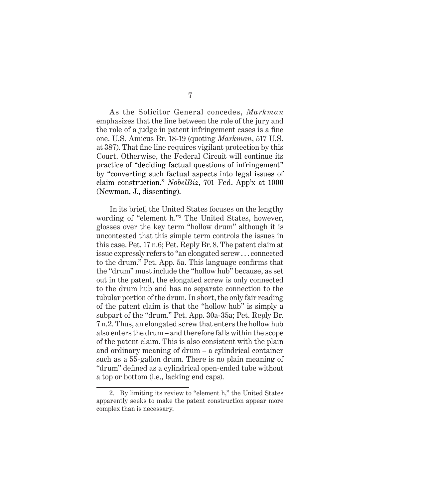As the Solicitor General concedes, *Markman* emphasizes that the line between the role of the jury and the role of a judge in patent infringement cases is a fine one. U.S. Amicus Br. 18-19 (quoting *Markman*, 517 U.S. at 387). That fine line requires vigilant protection by this Court. Otherwise, the Federal Circuit will continue its practice of "deciding factual questions of infringement" by "converting such factual aspects into legal issues of claim construction." *NobelBiz*, 701 Fed. App'x at 1000 (Newman, J., dissenting).

In its brief, the United States focuses on the lengthy wording of "element h."<sup>2</sup> The United States, however, glosses over the key term "hollow drum" although it is uncontested that this simple term controls the issues in this case. Pet. 17 n.6; Pet. Reply Br. 8. The patent claim at issue expressly refers to "an elongated screw . . . connected to the drum." Pet. App. 5a. This language confirms that the "drum" must include the "hollow hub" because, as set out in the patent, the elongated screw is only connected to the drum hub and has no separate connection to the tubular portion of the drum. In short, the only fair reading of the patent claim is that the "hollow hub" is simply a subpart of the "drum." Pet. App. 30a-35a; Pet. Reply Br. 7 n.2. Thus, an elongated screw that enters the hollow hub also enters the drum – and therefore falls within the scope of the patent claim. This is also consistent with the plain and ordinary meaning of drum – a cylindrical container such as a 55-gallon drum. There is no plain meaning of "drum" defined as a cylindrical open-ended tube without a top or bottom (i.e., lacking end caps).

<sup>2.</sup> By limiting its review to "element h," the United States apparently seeks to make the patent construction appear more complex than is necessary.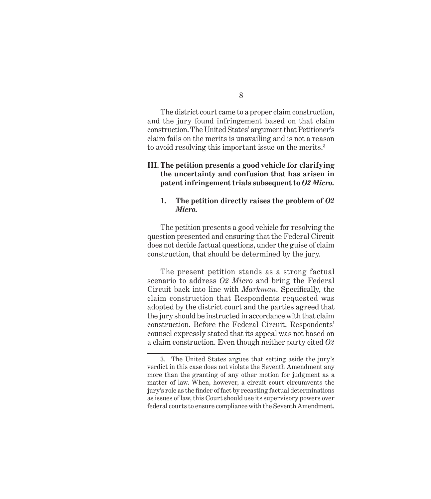The district court came to a proper claim construction, and the jury found infringement based on that claim construction. The United States' argument that Petitioner's claim fails on the merits is unavailing and is not a reason to avoid resolving this important issue on the merits.<sup>3</sup>

### **III. The petition presents a good vehicle for clarifying the uncertainty and confusion that has arisen in patent infringement trials subsequent to** *O2 Micro.*

#### **1. The petition directly raises the problem of** *O2 Micro.*

The petition presents a good vehicle for resolving the question presented and ensuring that the Federal Circuit does not decide factual questions, under the guise of claim construction, that should be determined by the jury.

The present petition stands as a strong factual scenario to address *O2 Micro* and bring the Federal Circuit back into line with *Markman*. Specifically, the claim construction that Respondents requested was adopted by the district court and the parties agreed that the jury should be instructed in accordance with that claim construction. Before the Federal Circuit, Respondents' counsel expressly stated that its appeal was not based on a claim construction. Even though neither party cited *O2* 

<sup>3.</sup> The United States argues that setting aside the jury's verdict in this case does not violate the Seventh Amendment any more than the granting of any other motion for judgment as a matter of law. When, however, a circuit court circumvents the jury's role as the finder of fact by recasting factual determinations as issues of law, this Court should use its supervisory powers over federal courts to ensure compliance with the Seventh Amendment.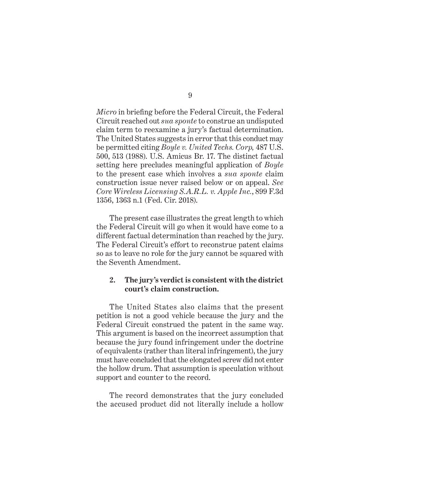*Micro* in briefing before the Federal Circuit, the Federal Circuit reached out *sua sponte* to construe an undisputed claim term to reexamine a jury's factual determination. The United States suggests in error that this conduct may be permitted citing *Boyle v. United Techs. Corp,* 487 U.S. 500, 513 (1988). U.S. Amicus Br. 17. The distinct factual setting here precludes meaningful application of *Boyle*  to the present case which involves a *sua sponte* claim construction issue never raised below or on appeal. *See Core Wireless Licensing S.A.R.L. v. Apple Inc.*, 899 F.3d 1356, 1363 n.1 (Fed. Cir. 2018).

The present case illustrates the great length to which the Federal Circuit will go when it would have come to a different factual determination than reached by the jury. The Federal Circuit's effort to reconstrue patent claims so as to leave no role for the jury cannot be squared with the Seventh Amendment.

### **2. The jury's verdict is consistent with the district court's claim construction.**

The United States also claims that the present petition is not a good vehicle because the jury and the Federal Circuit construed the patent in the same way. This argument is based on the incorrect assumption that because the jury found infringement under the doctrine of equivalents (rather than literal infringement), the jury must have concluded that the elongated screw did not enter the hollow drum. That assumption is speculation without support and counter to the record.

The record demonstrates that the jury concluded the accused product did not literally include a hollow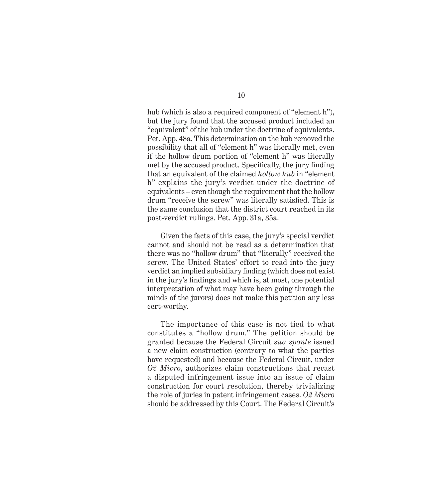hub (which is also a required component of "element h"), but the jury found that the accused product included an "equivalent" of the hub under the doctrine of equivalents. Pet. App. 48a. This determination on the hub removed the possibility that all of "element h" was literally met, even if the hollow drum portion of "element h" was literally met by the accused product. Specifically, the jury finding that an equivalent of the claimed *hollow hub* in "element h" explains the jury's verdict under the doctrine of equivalents – even though the requirement that the hollow drum "receive the screw" was literally satisfied. This is the same conclusion that the district court reached in its post-verdict rulings. Pet. App. 31a, 35a.

Given the facts of this case, the jury's special verdict cannot and should not be read as a determination that there was no "hollow drum" that "literally" received the screw. The United States' effort to read into the jury verdict an implied subsidiary finding (which does not exist in the jury's findings and which is, at most, one potential interpretation of what may have been going through the minds of the jurors) does not make this petition any less cert-worthy.

The importance of this case is not tied to what constitutes a "hollow drum." The petition should be granted because the Federal Circuit *sua sponte* issued a new claim construction (contrary to what the parties have requested) and because the Federal Circuit, under *O2 Micro*, authorizes claim constructions that recast a disputed infringement issue into an issue of claim construction for court resolution, thereby trivializing the role of juries in patent infringement cases. *O2 Micro* should be addressed by this Court. The Federal Circuit's